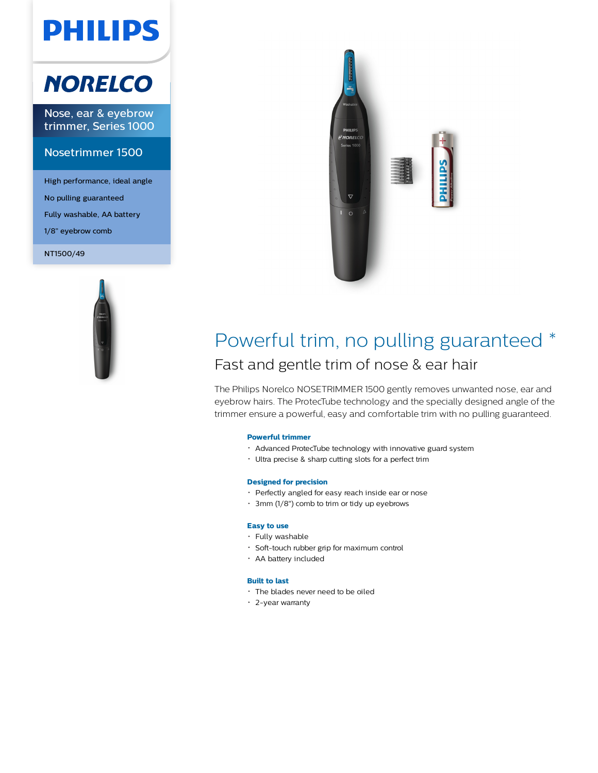# **PHILIPS**

## **NORELCO**

Nose, ear & eyebrow trimmer, Series 1000

#### Nosetrimmer 1500

High performance, ideal angle No pulling guaranteed Fully washable, AA battery 1/8" eyebrow comb

NT1500/49





### Powerful trim, no pulling guaranteed \* Fast and gentle trim of nose & ear hair

The Philips Norelco NOSETRIMMER 1500 gently removes unwanted nose, ear and eyebrow hairs. The ProtecTube technology and the specially designed angle of the trimmer ensure a powerful, easy and comfortable trim with no pulling guaranteed.

#### **Powerful trimmer**

- Advanced ProtecTube technology with innovative guard system
- Ultra precise & sharp cutting slots for a perfect trim

#### **Designed for precision**

- Perfectly angled for easy reach inside ear or nose
- 3mm (1/8") comb to trim or tidy up eyebrows

#### **Easy to use**

- Fully washable
- Soft-touch rubber grip for maximum control
- AA battery included

#### **Built to last**

- The blades never need to be oiled
- 2-year warranty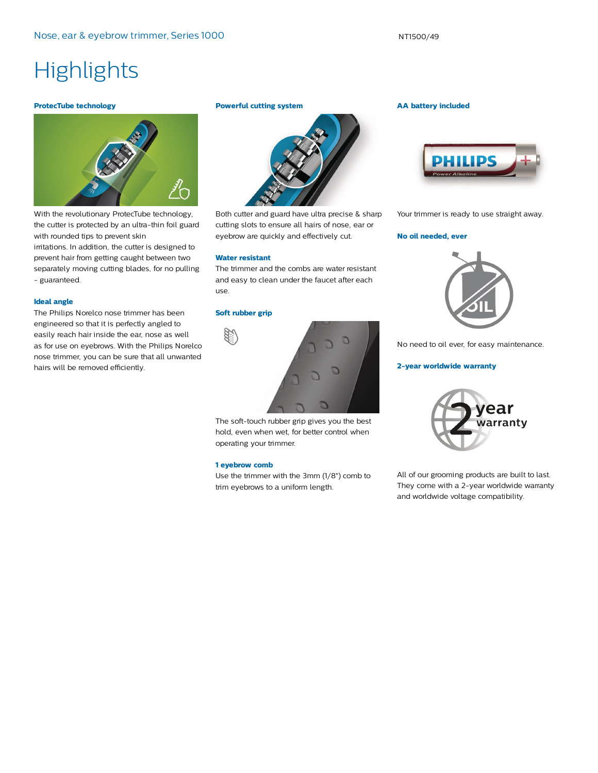## **Highlights**

#### **ProtecTube technology**



With the revolutionary ProtecTube technology, the cutter is protected by an ultra-thin foil guard with rounded tips to prevent skin irritations. In addition, the cutter is designed to prevent hair from getting caught between two separately moving cutting blades, for no pulling - guaranteed.

#### **Ideal angle**

The Philips Norelco nose trimmer has been engineered so that it is perfectly angled to easily reach hair inside the ear, nose as well as for use on eyebrows. With the Philips Norelco nose trimmer, you can be sure that all unwanted hairs will be removed efficiently.

#### **Powerful cutting system**



Both cutter and guard have ultra precise & sharp cutting slots to ensure all hairs of nose, ear or eyebrow are quickly and effectively cut.

#### **Water resistant**

The trimmer and the combs are water resistant and easy to clean under the faucet after each use.

#### **Soft rubber grip**



The soft-touch rubber grip gives you the best hold, even when wet, for better control when operating your trimmer.

#### **1 eyebrow comb**

Use the trimmer with the 3mm (1/8") comb to trim eyebrows to a uniform length.

#### **AA battery included**



Your trimmer is ready to use straight away.

#### **No oil needed, ever**



No need to oil ever, for easy maintenance.

#### **2-year worldwide warranty**



All of our grooming products are built to last. They come with a 2-year worldwide warranty and worldwide voltage compatibility.